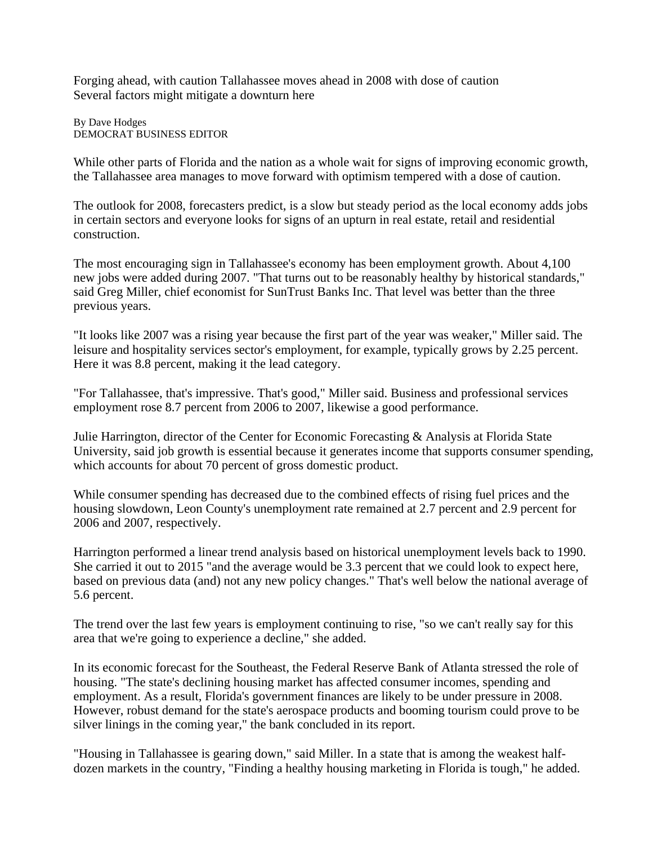Forging ahead, with caution Tallahassee moves ahead in 2008 with dose of caution Several factors might mitigate a downturn here

By Dave Hodges DEMOCRAT BUSINESS EDITOR

While other parts of Florida and the nation as a whole wait for signs of improving economic growth, the Tallahassee area manages to move forward with optimism tempered with a dose of caution.

The outlook for 2008, forecasters predict, is a slow but steady period as the local economy adds jobs in certain sectors and everyone looks for signs of an upturn in real estate, retail and residential construction.

The most encouraging sign in Tallahassee's economy has been employment growth. About 4,100 new jobs were added during 2007. "That turns out to be reasonably healthy by historical standards," said Greg Miller, chief economist for SunTrust Banks Inc. That level was better than the three previous years.

"It looks like 2007 was a rising year because the first part of the year was weaker," Miller said. The leisure and hospitality services sector's employment, for example, typically grows by 2.25 percent. Here it was 8.8 percent, making it the lead category.

"For Tallahassee, that's impressive. That's good," Miller said. Business and professional services employment rose 8.7 percent from 2006 to 2007, likewise a good performance.

Julie Harrington, director of the Center for Economic Forecasting & Analysis at Florida State University, said job growth is essential because it generates income that supports consumer spending, which accounts for about 70 percent of gross domestic product.

While consumer spending has decreased due to the combined effects of rising fuel prices and the housing slowdown, Leon County's unemployment rate remained at 2.7 percent and 2.9 percent for 2006 and 2007, respectively.

Harrington performed a linear trend analysis based on historical unemployment levels back to 1990. She carried it out to 2015 "and the average would be 3.3 percent that we could look to expect here, based on previous data (and) not any new policy changes." That's well below the national average of 5.6 percent.

The trend over the last few years is employment continuing to rise, "so we can't really say for this area that we're going to experience a decline," she added.

In its economic forecast for the Southeast, the Federal Reserve Bank of Atlanta stressed the role of housing. "The state's declining housing market has affected consumer incomes, spending and employment. As a result, Florida's government finances are likely to be under pressure in 2008. However, robust demand for the state's aerospace products and booming tourism could prove to be silver linings in the coming year," the bank concluded in its report.

"Housing in Tallahassee is gearing down," said Miller. In a state that is among the weakest halfdozen markets in the country, "Finding a healthy housing marketing in Florida is tough," he added.